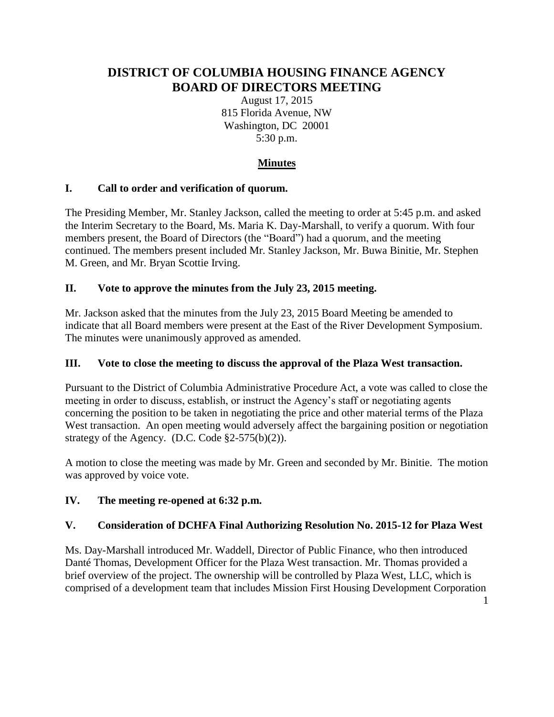# **DISTRICT OF COLUMBIA HOUSING FINANCE AGENCY BOARD OF DIRECTORS MEETING**

August 17, 2015 815 Florida Avenue, NW Washington, DC 20001 5:30 p.m.

## **Minutes**

## **I. Call to order and verification of quorum.**

The Presiding Member, Mr. Stanley Jackson, called the meeting to order at 5:45 p.m. and asked the Interim Secretary to the Board, Ms. Maria K. Day-Marshall, to verify a quorum. With four members present, the Board of Directors (the "Board") had a quorum, and the meeting continued. The members present included Mr. Stanley Jackson, Mr. Buwa Binitie, Mr. Stephen M. Green, and Mr. Bryan Scottie Irving.

## **II. Vote to approve the minutes from the July 23, 2015 meeting.**

Mr. Jackson asked that the minutes from the July 23, 2015 Board Meeting be amended to indicate that all Board members were present at the East of the River Development Symposium. The minutes were unanimously approved as amended.

## **III. Vote to close the meeting to discuss the approval of the Plaza West transaction.**

Pursuant to the District of Columbia Administrative Procedure Act, a vote was called to close the meeting in order to discuss, establish, or instruct the Agency's staff or negotiating agents concerning the position to be taken in negotiating the price and other material terms of the Plaza West transaction. An open meeting would adversely affect the bargaining position or negotiation strategy of the Agency. (D.C. Code  $\S2-575(b)(2)$ ).

A motion to close the meeting was made by Mr. Green and seconded by Mr. Binitie. The motion was approved by voice vote.

## **IV. The meeting re-opened at 6:32 p.m.**

## **V. Consideration of DCHFA Final Authorizing Resolution No. 2015-12 for Plaza West**

Ms. Day-Marshall introduced Mr. Waddell, Director of Public Finance, who then introduced Danté Thomas, Development Officer for the Plaza West transaction. Mr. Thomas provided a brief overview of the project. The ownership will be controlled by Plaza West, LLC, which is comprised of a development team that includes Mission First Housing Development Corporation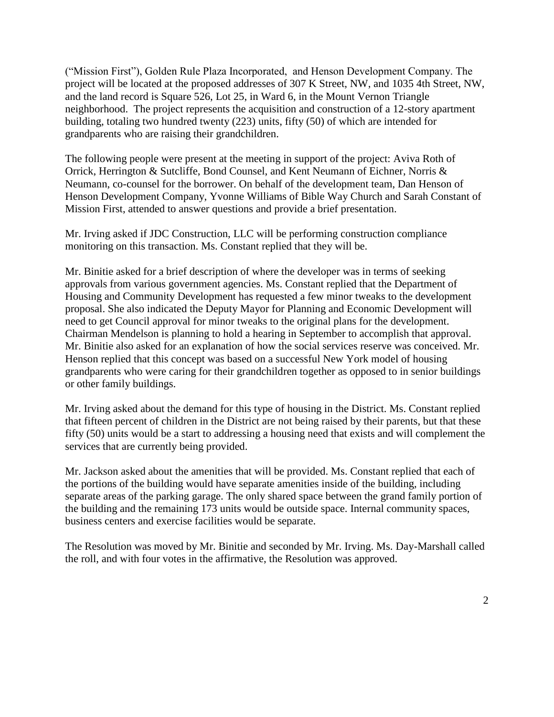("Mission First"), Golden Rule Plaza Incorporated, and Henson Development Company. The project will be located at the proposed addresses of 307 K Street, NW, and 1035 4th Street, NW, and the land record is Square 526, Lot 25, in Ward 6, in the Mount Vernon Triangle neighborhood. The project represents the acquisition and construction of a 12-story apartment building, totaling two hundred twenty (223) units, fifty (50) of which are intended for grandparents who are raising their grandchildren.

The following people were present at the meeting in support of the project: Aviva Roth of Orrick, Herrington & Sutcliffe, Bond Counsel, and Kent Neumann of Eichner, Norris & Neumann, co-counsel for the borrower. On behalf of the development team, Dan Henson of Henson Development Company, Yvonne Williams of Bible Way Church and Sarah Constant of Mission First, attended to answer questions and provide a brief presentation.

Mr. Irving asked if JDC Construction, LLC will be performing construction compliance monitoring on this transaction. Ms. Constant replied that they will be.

Mr. Binitie asked for a brief description of where the developer was in terms of seeking approvals from various government agencies. Ms. Constant replied that the Department of Housing and Community Development has requested a few minor tweaks to the development proposal. She also indicated the Deputy Mayor for Planning and Economic Development will need to get Council approval for minor tweaks to the original plans for the development. Chairman Mendelson is planning to hold a hearing in September to accomplish that approval. Mr. Binitie also asked for an explanation of how the social services reserve was conceived. Mr. Henson replied that this concept was based on a successful New York model of housing grandparents who were caring for their grandchildren together as opposed to in senior buildings or other family buildings.

Mr. Irving asked about the demand for this type of housing in the District. Ms. Constant replied that fifteen percent of children in the District are not being raised by their parents, but that these fifty (50) units would be a start to addressing a housing need that exists and will complement the services that are currently being provided.

Mr. Jackson asked about the amenities that will be provided. Ms. Constant replied that each of the portions of the building would have separate amenities inside of the building, including separate areas of the parking garage. The only shared space between the grand family portion of the building and the remaining 173 units would be outside space. Internal community spaces, business centers and exercise facilities would be separate.

The Resolution was moved by Mr. Binitie and seconded by Mr. Irving. Ms. Day-Marshall called the roll, and with four votes in the affirmative, the Resolution was approved.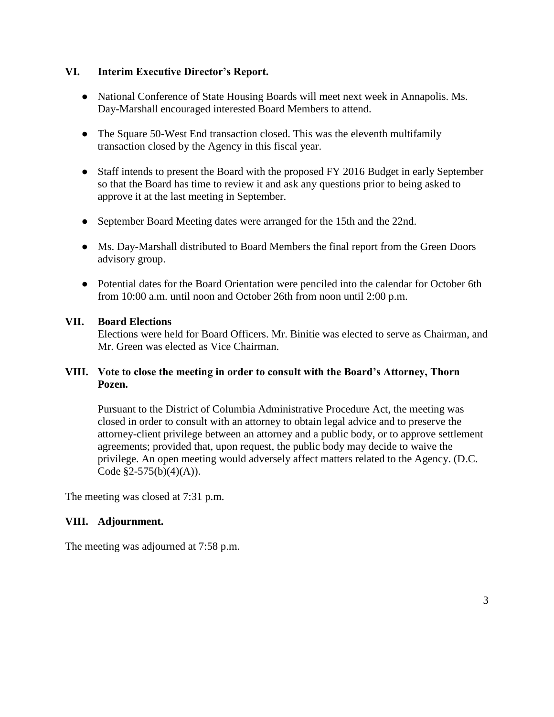### **VI. Interim Executive Director's Report.**

- National Conference of State Housing Boards will meet next week in Annapolis. Ms. Day-Marshall encouraged interested Board Members to attend.
- The Square 50-West End transaction closed. This was the eleventh multifamily transaction closed by the Agency in this fiscal year.
- Staff intends to present the Board with the proposed FY 2016 Budget in early September so that the Board has time to review it and ask any questions prior to being asked to approve it at the last meeting in September.
- September Board Meeting dates were arranged for the 15th and the 22nd.
- Ms. Day-Marshall distributed to Board Members the final report from the Green Doors advisory group.
- Potential dates for the Board Orientation were penciled into the calendar for October 6th from 10:00 a.m. until noon and October 26th from noon until 2:00 p.m.

### **VII. Board Elections**

Elections were held for Board Officers. Mr. Binitie was elected to serve as Chairman, and Mr. Green was elected as Vice Chairman.

### **VIII. Vote to close the meeting in order to consult with the Board's Attorney, Thorn Pozen.**

Pursuant to the District of Columbia Administrative Procedure Act, the meeting was closed in order to consult with an attorney to obtain legal advice and to preserve the attorney-client privilege between an attorney and a public body, or to approve settlement agreements; provided that, upon request, the public body may decide to waive the privilege. An open meeting would adversely affect matters related to the Agency. (D.C. Code  $\S2 - 575(b)(4)(A)$ ).

The meeting was closed at 7:31 p.m.

### **VIII. Adjournment.**

The meeting was adjourned at 7:58 p.m.